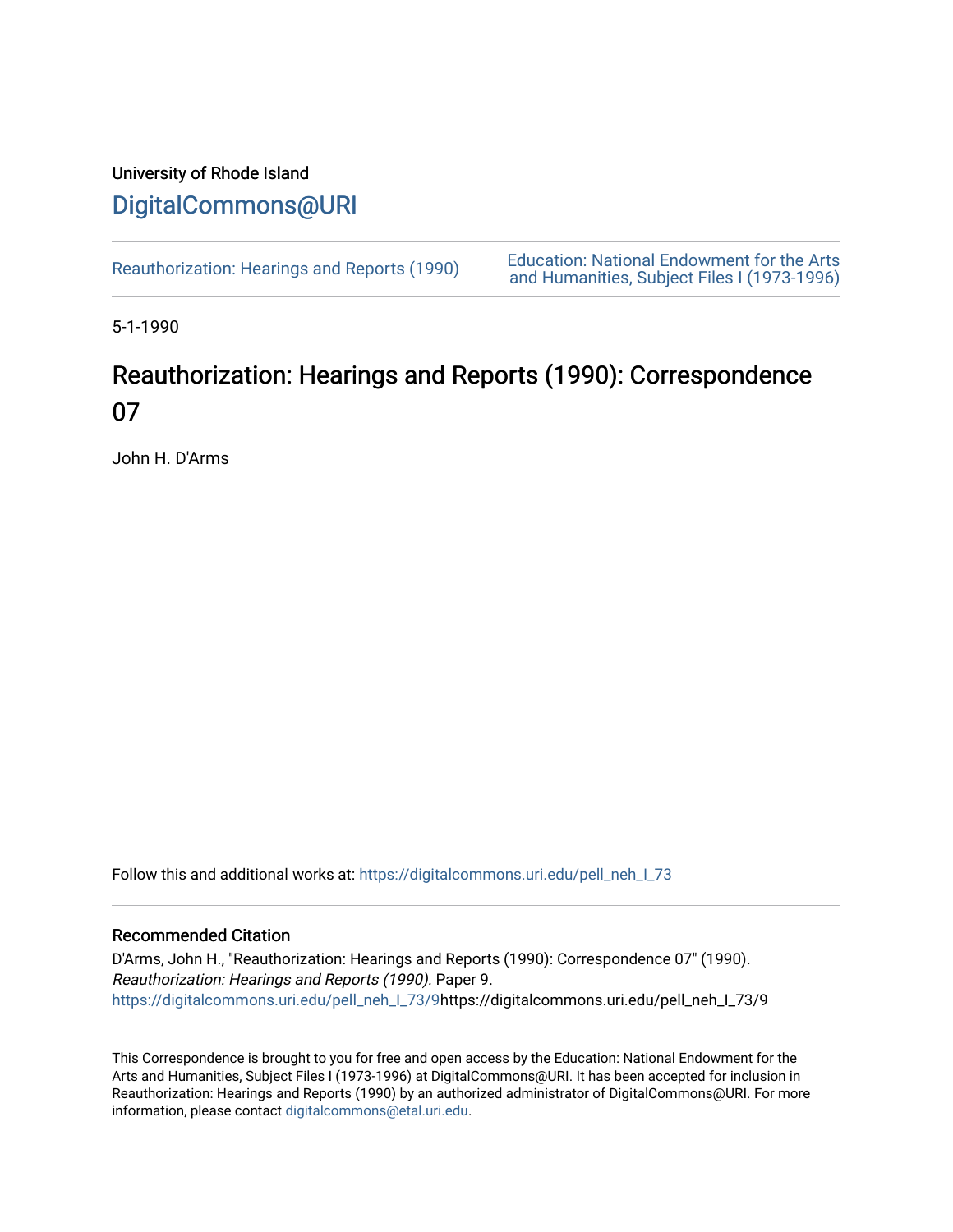## University of Rhode Island [DigitalCommons@URI](https://digitalcommons.uri.edu/)

[Reauthorization: Hearings and Reports \(1990\)](https://digitalcommons.uri.edu/pell_neh_I_73) Education: National Endowment for the Arts [and Humanities, Subject Files I \(1973-1996\)](https://digitalcommons.uri.edu/pell_neh_I) 

5-1-1990

## Reauthorization: Hearings and Reports (1990): Correspondence 07

John H. D'Arms

Follow this and additional works at: https://digitalcommons.uri.edu/pell\_neh\_I\_73

## Recommended Citation

D'Arms, John H., "Reauthorization: Hearings and Reports (1990): Correspondence 07" (1990). Reauthorization: Hearings and Reports (1990). Paper 9. [https://digitalcommons.uri.edu/pell\\_neh\\_I\\_73/9h](https://digitalcommons.uri.edu/pell_neh_I_73/9?utm_source=digitalcommons.uri.edu%2Fpell_neh_I_73%2F9&utm_medium=PDF&utm_campaign=PDFCoverPages)ttps://digitalcommons.uri.edu/pell\_neh\_I\_73/9

This Correspondence is brought to you for free and open access by the Education: National Endowment for the Arts and Humanities, Subject Files I (1973-1996) at DigitalCommons@URI. It has been accepted for inclusion in Reauthorization: Hearings and Reports (1990) by an authorized administrator of DigitalCommons@URI. For more information, please contact [digitalcommons@etal.uri.edu.](mailto:digitalcommons@etal.uri.edu)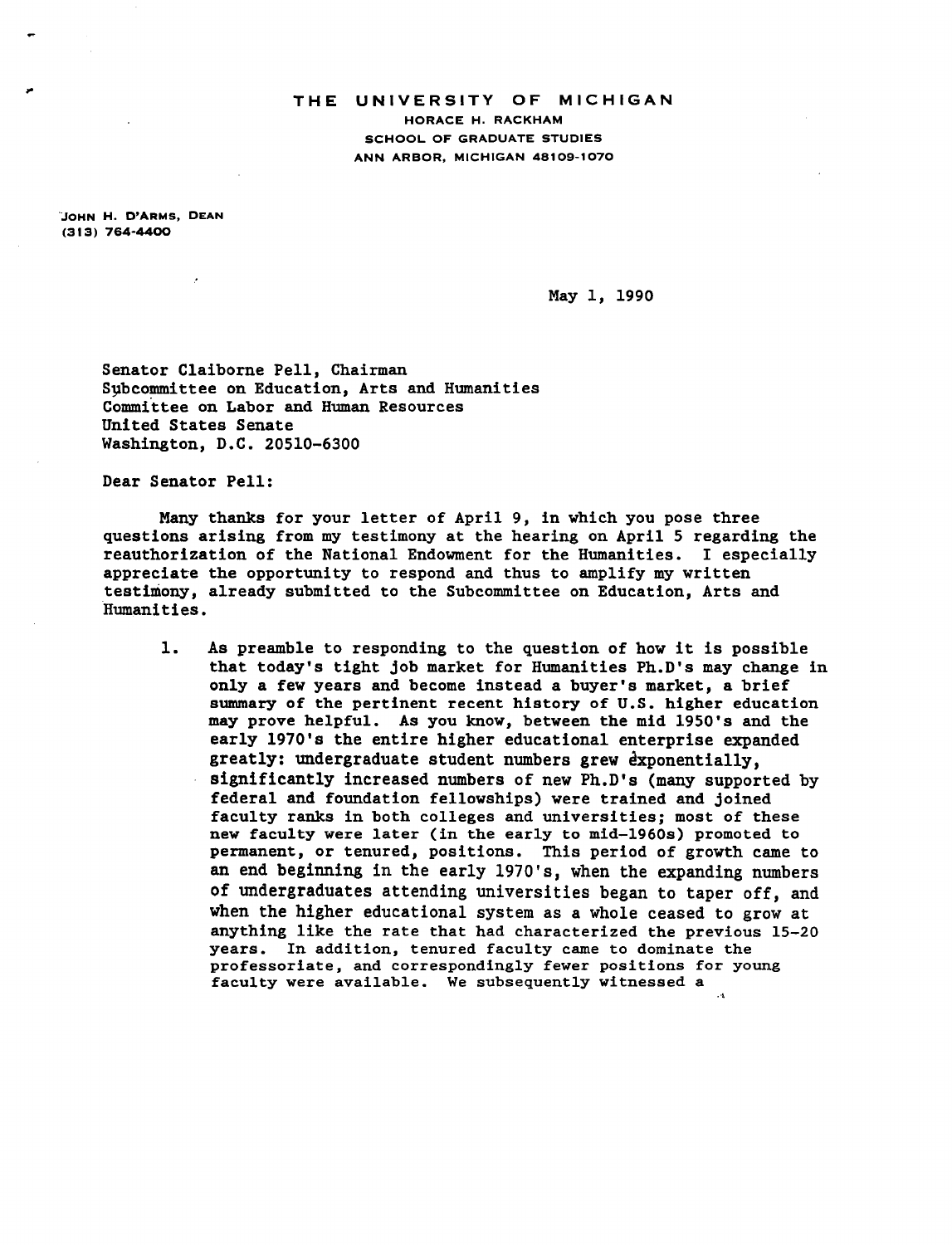## **THE** UNIVERSITY OF MICHIGAN HORACE H. RACKHAM SCHOOL OF GRADUATE STUDIES ANN ARBOR, MICHIGAN 48109-1070

.JOHN H. D'ARMS, DEAN (313) 764-4400

,.

May 1, 1990

Senator Claiborne Pell, Chairman Subcommittee on Education, Arts and Humanities Commfttee on Labor and Human Resources United States Senate Washington, D.C. 20510-6300

Dear Senator Pell:

Many thanks for your letter of April 9, in which you pose three questions arising from my testimony at the hearing on April 5 regarding the reauthorization of the National Endowment for the Humanities. I especially appreciate the opportunity to respond and thus to amplify my written testimony, already submitted to the Subcommittee on Education, Arts and Humanities.

1. As preamble to responding to the question of how it is possible that today's tight job market for Humanities Ph.D's may change in only a few years and become instead a buyer's market, a brief summary of the pertinent recent history of U.S. higher education may prove helpful. As you know, between the mid 1950's and the early 1970's the entire higher educational enterprise expanded greatly: undergraduate student numbers grew exponentially, significantly increased numbers of new Ph.D's (many supported by federal and foundation fellowships) were trained and joined faculty ranks in both colleges and universities; most of these new faculty were later (in the early to mid-1960s) promoted to permanent, or tenured, positions. This period of growth came to an end beginning in the early 1970's, when the expanding numbers of undergraduates attending universities began to taper off, and when the higher educational system as a whole ceased to grow at anything like the rate that had characterized the previous 15-20 years. In addition, tenured faculty came to dominate the professoriate, and correspondingly fewer positions for young faculty were available. We subsequently witnessed a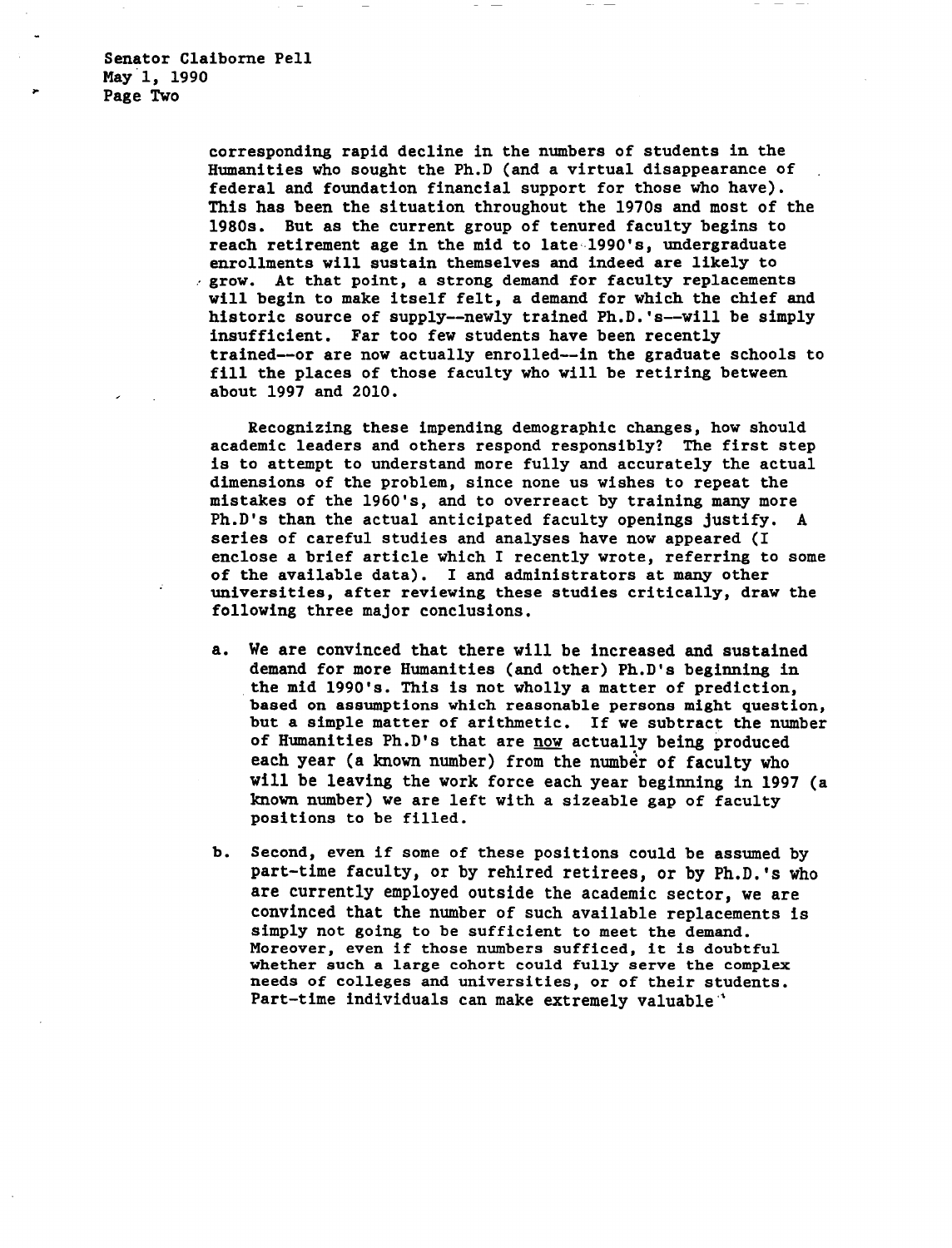corresponding rapid decline in the numbers of students in the Humanities who sought the Ph.D (and a virtual disappearance of federal and foundation financial support for those who have). This has been the situation throughout the 1970s and most of the 1980s. But as the current group of tenured faculty begins to reach retirement age in the mid to late-1990's, undergraduate<br>enrollments will sustain themselves and indeed are likely to  $e$  grow. At that point, a strong demand for faculty replacements will begin to make itself felt, a demand for which the chief and historic source of supply--newly trained Ph.D.'s--will be simply insufficient. Far too few students have been recently trained--or are now actually enrolled--in the graduate schools to fill the places of those faculty who will be retiring between about 1997 and 2010.

Recognizing these impending demographic changes, how should academic leaders and others respond responsibly? The first step is to attempt to understand more fully and accurately the actual dimensions of the problem, since none us wishes to repeat the mistakes of the 1960's, and to overreact by training many more Ph.D's than the actual anticipated faculty openings justify. A series of careful studies and analyses have now appeared (I enclose a brief article which I recently wrote, referring to some of the available data). I and administrators at many other universities, after reviewing these studies critically, draw the following three major conclusions.

- a. We are convinced that there will be increased and sustained demand for more Humanities (and other) Ph.D's beginning in the mid 1990's. This is not wholly a matter of prediction, based on assumptions which reasonable persons might question, but a simple matter of arithmetic. If we subtract the number of Humanities Ph.D's that are now actually being produced each year (a known number) from the number of faculty who will be leaving the work force each year beginning in 1997 (a known number) we are left with a sizeable gap of faculty positions to be filled.
- b. Second, even if some of these positions could be assumed by part-time faculty, or by rehired retirees, or by Ph.D.'s who are currently employed outside the academic sector, we are convinced that the number of such available replacements is simply not going to be sufficient to meet the demand. Moreover, even if those numbers sufficed, it is doubtful whether such a large cohort could fully serve the complex needs of colleges and universities, or of their students. Part-time individuals can make extremely valuable.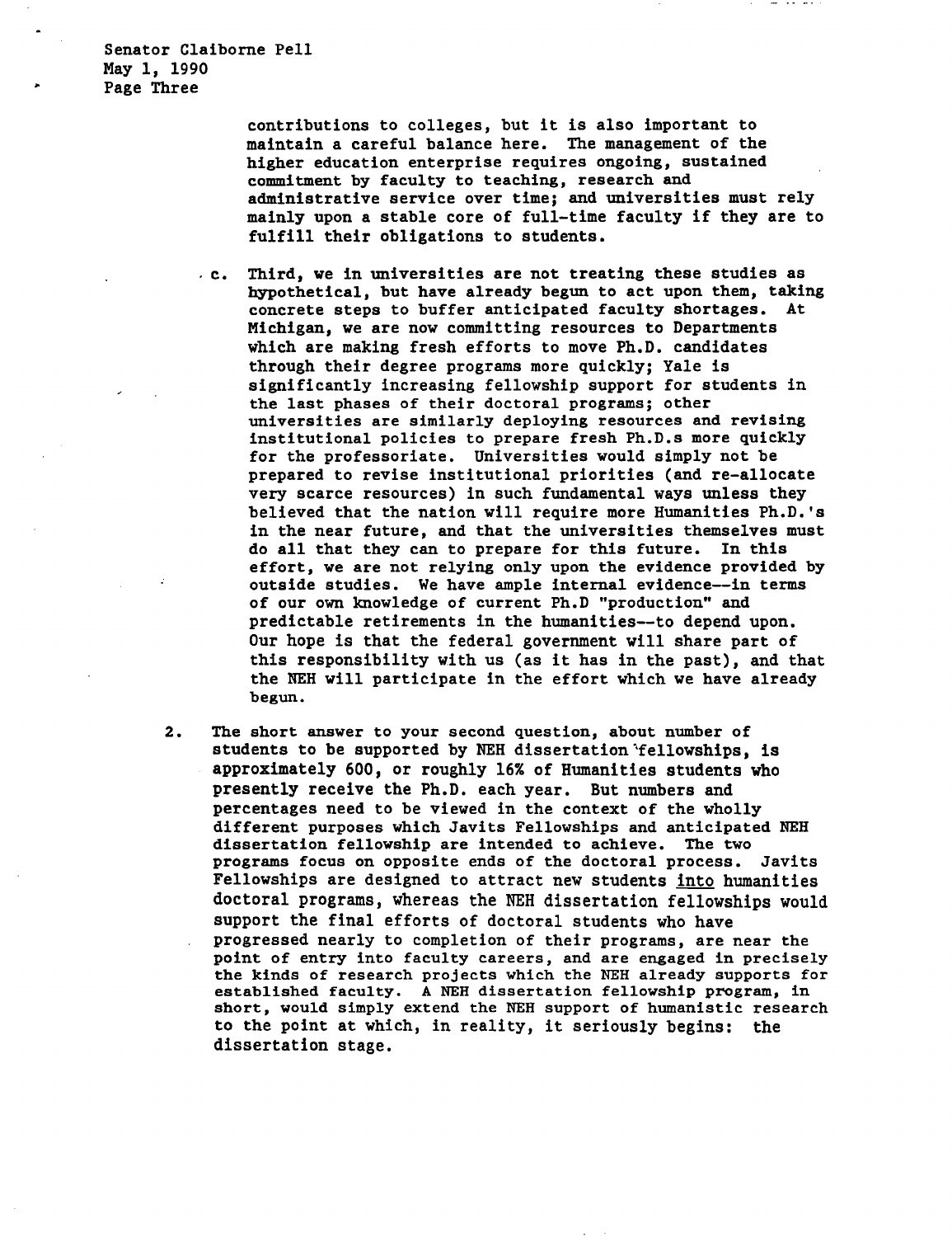Senator Claiborne Pell May 1, 1990 Page Three

> contributions to colleges, but it is also important to maintain a careful balance here. The management of the higher education enterprise requires ongoing, sustained commitment by faculty to teaching, research and administrative service over time; and universities must rely mainly upon a stable core of full-time faculty if they are to fulfill their obligations to students.

 $\cdot$  c. Third, we in universities are not treating these studies as hypothetical, but have already begun to act upon them, taking concrete steps to buffer anticipated faculty shortages. At Michigan, we are now committing resources to Departments which are making fresh efforts to move Ph.D. candidates through their degree programs more quickly; Yale is significantly increasing fellowship support for students in the last phases of their doctoral programs; other universities are similarly deploying resources and revising institutional policies to prepare fresh Ph.D.s more quickly for the professoriate. Universities would simply not be prepared to revise institutional priorities (and re-allocate very scarce resources) in such fundamental ways unless they believed that the nation will require more Humanities Ph.D.'s in the near future, and that the universities themselves must do all that they can to prepare for this future. In this effort, we are not relying only upon the evidence provided by outside studies. We have ample internal evidence--in terms of our own knowledge of current Ph.D "production" and predictable retirements in the humanities--to depend upon. Our hope is that the federal government will share part of this responsibility with us (as it has in the past), and that the NEH will participate in the effort which we have already begun.

2. The short answer to your second question, about number of students to be supported by NEH dissertation 'fellowships, is approximately 600, or roughly 16% of Humanities students who presently receive the Ph.D. each year. But numbers and percentages need to be viewed in the context of the wholly different purposes which Javits Fellowships and anticipated NEH dissertation fellowship are intended to achieve. The two programs focus on opposite ends of the doctoral process. Javits Fellowships are designed to attract new students into humanities doctoral programs, whereas the NEH dissertation fellowships would support the final efforts of doctoral students who have progressed nearly to completion of their programs, are near the point of entry into faculty careers, and are engaged in precisely the kinds of research projects which the NEH already supports for established faculty. A NEH dissertation fellowship program, in short, would simply extend the NEH support of humanistic research to the point at which, in reality, it seriously begins: the dissertation stage.